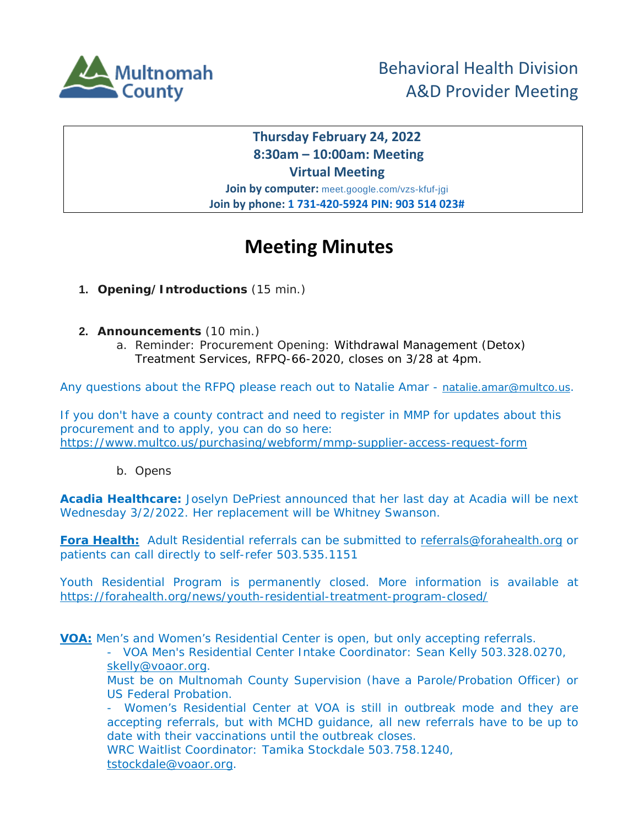

## **Thursday February 24, 2022 8:30am – 10:00am: Meeting Virtual Meeting**

**Join by computer:** meet.google.com/vzs-kfuf-jgi **Join by phone: 1 731-420-5924 PIN: 903 514 023#**

## **Meeting Minutes**

- **1. Opening/Introductions** (15 min.)
- **2. Announcements** (10 min.)
	- a. Reminder: Procurement Opening: Withdrawal Management (Detox) Treatment Services, RFPQ-66-2020, closes on 3/28 at 4pm.

Any questions about the RFPQ please reach out to Natalie Amar - natalie.amar@multco.us.

If you don't have a county contract and need to register in MMP for updates about this procurement and to apply, you can do so here: <https://www.multco.us/purchasing/webform/mmp-supplier-access-request-form>

b. Opens

**Acadia Healthcare:** Joselyn DePriest announced that her last day at Acadia will be next Wednesday 3/2/2022. Her replacement will be Whitney Swanson.

**Fora Health:** Adult Residential referrals can be submitted to referrals@forahealth.org or patients can call directly to self-refer 503.535.1151

Youth Residential Program is permanently closed. More information is available at <https://forahealth.org/news/youth-residential-treatment-program-closed/>

**VOA:** Men's and Women's Residential Center is open, but only accepting referrals.

- VOA Men's Residential Center Intake Coordinator: Sean Kelly 503.328.0270, skelly@voaor.org.

Must be on Multnomah County Supervision (have a Parole/Probation Officer) or US Federal Probation.

- Women's Residential Center at VOA is still in outbreak mode and they are accepting referrals, but with MCHD guidance, all new referrals have to be up to date with their vaccinations until the outbreak closes.

WRC Waitlist Coordinator: Tamika Stockdale 503.758.1240, tstockdale@voaor.org.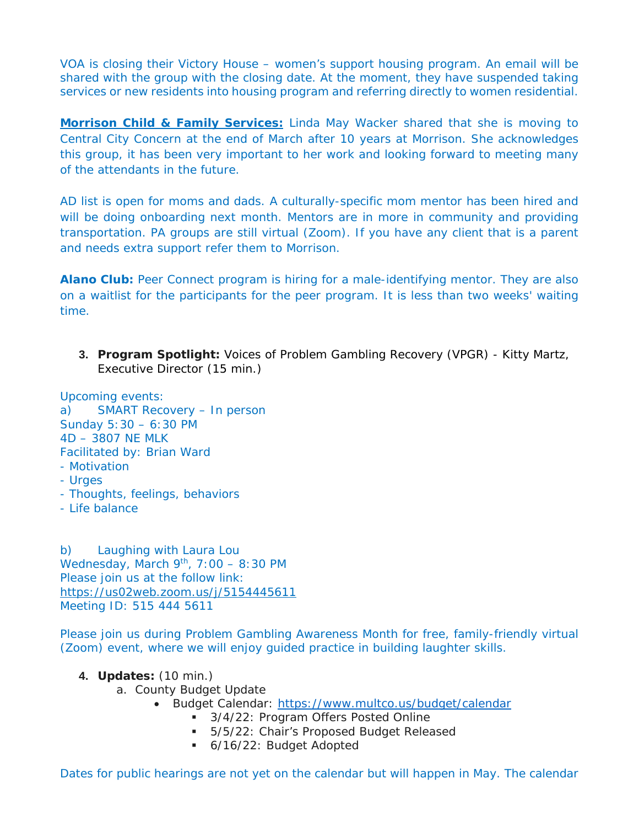VOA is closing their Victory House – women's support housing program. An email will be shared with the group with the closing date. At the moment, they have suspended taking services or new residents into housing program and referring directly to women residential.

**Morrison Child & Family Services:** Linda May Wacker shared that she is moving to Central City Concern at the end of March after 10 years at Morrison. She acknowledges this group, it has been very important to her work and looking forward to meeting many of the attendants in the future.

AD list is open for moms and dads. A culturally-specific mom mentor has been hired and will be doing onboarding next month. Mentors are in more in community and providing transportation. PA groups are still virtual (Zoom). If you have any client that is a parent and needs extra support refer them to Morrison.

**Alano Club:** Peer Connect program is hiring for a male-identifying mentor. They are also on a waitlist for the participants for the peer program. It is less than two weeks' waiting time.

**3. Program Spotlight:** Voices of Problem Gambling Recovery (VPGR) - Kitty Martz, Executive Director (15 min.)

Upcoming events: a) SMART Recovery – In person Sunday 5:30 – 6:30 PM 4D – 3807 NE MLK Facilitated by: Brian Ward - Motivation - Urges - Thoughts, feelings, behaviors - Life balance

b) Laughing with Laura Lou Wednesday, March  $9<sup>th</sup>$ , 7:00 – 8:30 PM Please join us at the follow link: <https://us02web.zoom.us/j/5154445611> Meeting ID: 515 444 5611

Please join us during Problem Gambling Awareness Month for free, family-friendly virtual (Zoom) event, where we will enjoy guided practice in building laughter skills.

- **4. Updates:** (10 min.)
	- a. County Budget Update
		- Budget Calendar:<https://www.multco.us/budget/calendar>
			- 3/4/22: Program Offers Posted Online
			- 5/5/22: Chair's Proposed Budget Released
			- 6/16/22: Budget Adopted

Dates for public hearings are not yet on the calendar but will happen in May. The calendar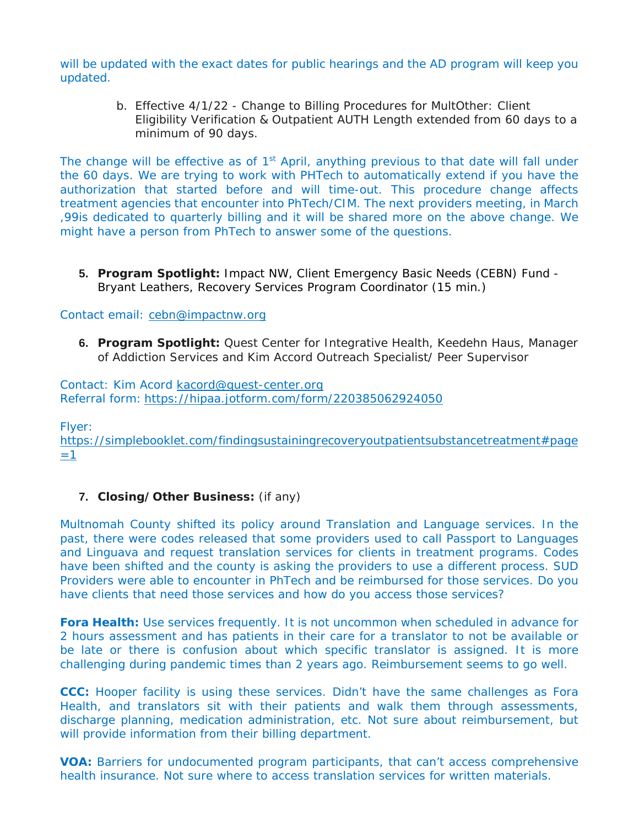will be updated with the exact dates for public hearings and the AD program will keep you updated.

> b. Effective 4/1/22 - Change to Billing Procedures for MultOther: Client Eligibility Verification & Outpatient AUTH Length extended from 60 days to a minimum of 90 days.

The change will be effective as of  $1<sup>st</sup>$  April, anything previous to that date will fall under the 60 days. We are trying to work with PHTech to automatically extend if you have the authorization that started before and will time-out. This procedure change affects treatment agencies that encounter into PhTech/CIM. The next providers meeting, in March ,99is dedicated to quarterly billing and it will be shared more on the above change. We might have a person from PhTech to answer some of the questions.

**5. Program Spotlight:** Impact NW, Client Emergency Basic Needs (CEBN) Fund - Bryant Leathers, Recovery Services Program Coordinator (15 min.)

## Contact email: cebn@impactnw.org

**6. Program Spotlight:** Quest Center for Integrative Health, Keedehn Haus, Manager of Addiction Services and Kim Accord Outreach Specialist/ Peer Supervisor

Contact: Kim Acord kacord@quest-center.org Referral form: <https://hipaa.jotform.com/form/220385062924050>

Flyer:

[https://simplebooklet.com/findingsustainingrecoveryoutpatientsubstancetreatment#page](https://simplebooklet.com/findingsustainingrecoveryoutpatientsubstancetreatment#page=1)  $=1$ 

## **7. Closing/Other Business:** *(if any)*

Multnomah County shifted its policy around Translation and Language services. In the past, there were codes released that some providers used to call Passport to Languages and Linguava and request translation services for clients in treatment programs. Codes have been shifted and the county is asking the providers to use a different process. SUD Providers were able to encounter in PhTech and be reimbursed for those services. Do you have clients that need those services and how do you access those services?

**Fora Health:** Use services frequently. It is not uncommon when scheduled in advance for 2 hours assessment and has patients in their care for a translator to not be available or be late or there is confusion about which specific translator is assigned. It is more challenging during pandemic times than 2 years ago. Reimbursement seems to go well.

**CCC:** Hooper facility is using these services. Didn't have the same challenges as Fora Health, and translators sit with their patients and walk them through assessments, discharge planning, medication administration, etc. Not sure about reimbursement, but will provide information from their billing department.

**VOA:** Barriers for undocumented program participants, that can't access comprehensive health insurance. Not sure where to access translation services for written materials.